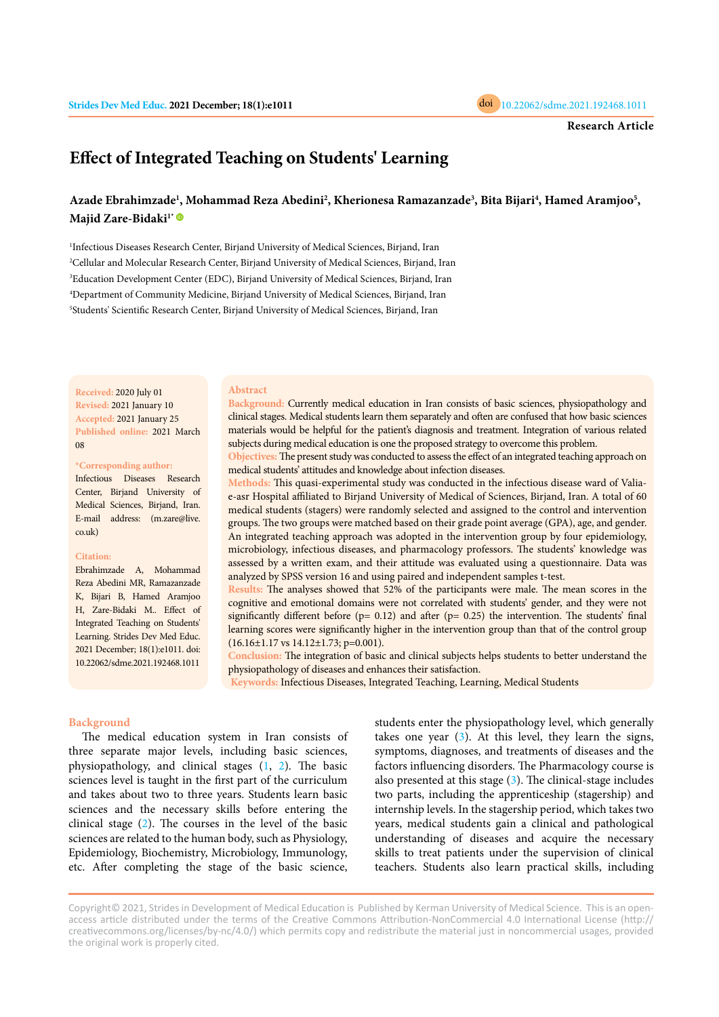

# **Effect of Integrated Teaching on Students' Learning**

# Azade Ebrahimzade<sup>ı</sup>, Mohammad Reza Abedini<sup>2</sup>, Kherionesa Ramazanzade<sup>3</sup>, Bita Bijari<sup>4</sup>, Hamed Aramjoo<sup>5</sup>, Majid Zare-Bidaki<sup>1\*</sup>

<sup>1</sup>Infectious Diseases Research Center, Birjand University of Medical Sciences, Birjand, Iran Cellular and Molecular Research Center, Birjand University of Medical Sciences, Birjand, Iran Education Development Center (EDC), Birjand University of Medical Sciences, Birjand, Iran Department of Community Medicine, Birjand University of Medical Sciences, Birjand, Iran Students' Scientific Research Center, Birjand University of Medical Sciences, Birjand, Iran

**Received:** 2020 July 01 **Revised:** 2021 January 10 **Accepted:** 2021 January 25 **Published online:** 2021 March 08

#### **\*Corresponding author:**

Infectious Diseases Research Center, Birjand University of Medical Sciences, Birjand, Iran. E-mail address: (m.zare@live. co.uk)

#### **Citation:**

Ebrahimzade A, Mohammad Reza Abedini MR, Ramazanzade K, Bijari B, Hamed Aramjoo H, Zare-Bidaki M.. Effect of Integrated Teaching on Students' Learning. Strides Dev Med Educ. 2021 December; 18(1):e1011. doi: 10.22062/sdme.2021.192468.1011

#### **Abstract**

**Background:** Currently medical education in Iran consists of basic sciences, physiopathology and clinical stages. Medical students learn them separately and often are confused that how basic sciences materials would be helpful for the patient's diagnosis and treatment. Integration of various related subjects during medical education is one the proposed strategy to overcome this problem.

**Objectives:** The present study was conducted to assess the effect of an integrated teaching approach on medical students' attitudes and knowledge about infection diseases.

**Methods:** This quasi-experimental study was conducted in the infectious disease ward of Valiae-asr Hospital affiliated to Birjand University of Medical of Sciences, Birjand, Iran. A total of 60 medical students (stagers) were randomly selected and assigned to the control and intervention groups. The two groups were matched based on their grade point average (GPA), age, and gender. An integrated teaching approach was adopted in the intervention group by four epidemiology, microbiology, infectious diseases, and pharmacology professors. The students' knowledge was assessed by a written exam, and their attitude was evaluated using a questionnaire. Data was analyzed by SPSS version 16 and using paired and independent samples t-test.

**Results:** The analyses showed that 52% of the participants were male. The mean scores in the cognitive and emotional domains were not correlated with students' gender, and they were not significantly different before ( $p= 0.12$ ) and after ( $p= 0.25$ ) the intervention. The students' final learning scores were significantly higher in the intervention group than that of the control group (16.16±1.17 vs 14.12±1.73; p=0.001).

**Conclusion:** The integration of basic and clinical subjects helps students to better understand the physiopathology of diseases and enhances their satisfaction.

**Keywords:** Infectious Diseases, Integrated Teaching, Learning, Medical Students

# **Background**

The medical education system in Iran consists of three separate major levels, including basic sciences, physiopathology, and clinical stages [\(1,](#page-4-0) [2\)](#page-4-0). The basic sciences level is taught in the first part of the curriculum and takes about two to three years. Students learn basic sciences and the necessary skills before entering the clinical stage ([2](#page-4-0)). The courses in the level of the basic sciences are related to the human body, such as Physiology, Epidemiology, Biochemistry, Microbiology, Immunology, etc. After completing the stage of the basic science,

students enter the physiopathology level, which generally takes one year  $(3)$  $(3)$ . At this level, they learn the signs, symptoms, diagnoses, and treatments of diseases and the factors influencing disorders. The Pharmacology course is also presented at this stage ([3\)](#page-4-0). The clinical-stage includes two parts, including the apprenticeship (stagership) and internship levels. In the stagership period, which takes two years, medical students gain a clinical and pathological understanding of diseases and acquire the necessary skills to treat patients under the supervision of clinical teachers. Students also learn practical skills, including

Copyright© 2021, Strides in Development of Medical Education is Published by Kerman University of Medical Science. This is an openaccess article distributed under the terms of the Creative Commons Attribution-NonCommercial 4.0 International License (http:// creativecommons.org/licenses/by-nc/4.0/) which permits copy and redistribute the material just in noncommercial usages, provided the original work is properly cited.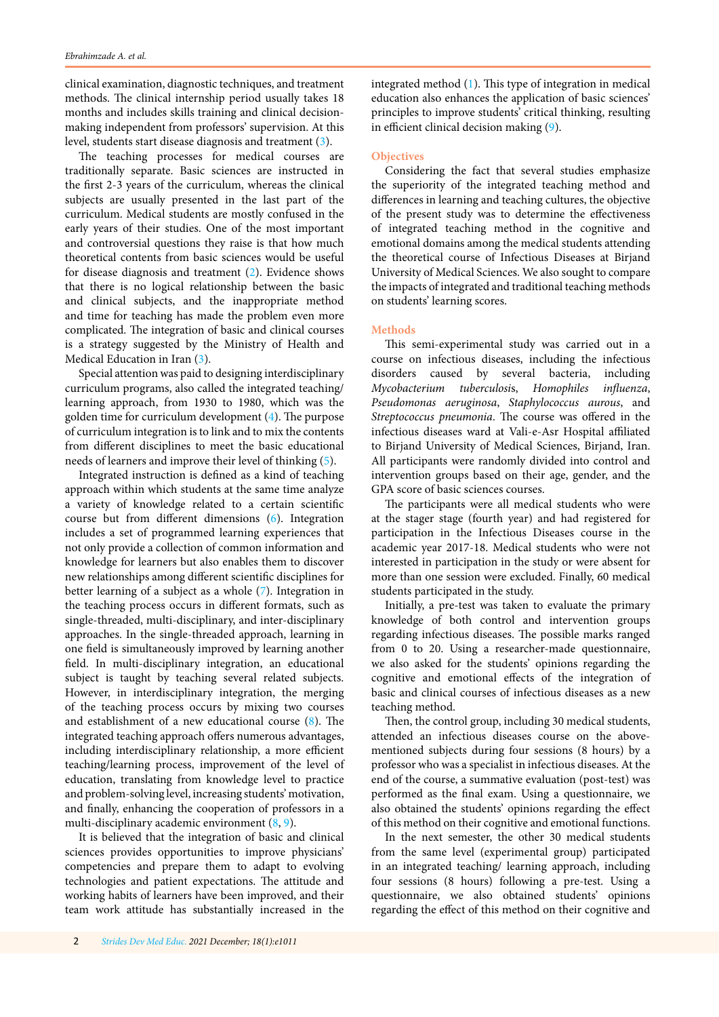clinical examination, diagnostic techniques, and treatment methods. The clinical internship period usually takes 18 months and includes skills training and clinical decisionmaking independent from professors' supervision. At this level, students start disease diagnosis and treatment ([3\)](#page-4-0).

The teaching processes for medical courses are traditionally separate. Basic sciences are instructed in the first 2-3 years of the curriculum, whereas the clinical subjects are usually presented in the last part of the curriculum. Medical students are mostly confused in the early years of their studies. One of the most important and controversial questions they raise is that how much theoretical contents from basic sciences would be useful for disease diagnosis and treatment ([2](#page-4-0)). Evidence shows that there is no logical relationship between the basic and clinical subjects, and the inappropriate method and time for teaching has made the problem even more complicated. The integration of basic and clinical courses is a strategy suggested by the Ministry of Health and Medical Education in Iran [\(3](#page-4-0)).

Special attention was paid to designing interdisciplinary curriculum programs, also called the integrated teaching/ learning approach, from 1930 to 1980, which was the golden time for curriculum development [\(4](#page-4-0)). The purpose of curriculum integration is to link and to mix the contents from different disciplines to meet the basic educational needs of learners and improve their level of thinking [\(5](#page-4-0)).

Integrated instruction is defined as a kind of teaching approach within which students at the same time analyze a variety of knowledge related to a certain scientific course but from different dimensions [\(6\)](#page-4-0). Integration includes a set of programmed learning experiences that not only provide a collection of common information and knowledge for learners but also enables them to discover new relationships among different scientific disciplines for better learning of a subject as a whole [\(7](#page-4-0)). Integration in the teaching process occurs in different formats, such as single-threaded, multi-disciplinary, and inter-disciplinary approaches. In the single-threaded approach, learning in one field is simultaneously improved by learning another field. In multi-disciplinary integration, an educational subject is taught by teaching several related subjects. However, in interdisciplinary integration, the merging of the teaching process occurs by mixing two courses and establishment of a new educational course ([8](#page-4-0)). The integrated teaching approach offers numerous advantages, including interdisciplinary relationship, a more efficient teaching/learning process, improvement of the level of education, translating from knowledge level to practice and problem-solving level, increasing students' motivation, and finally, enhancing the cooperation of professors in a multi-disciplinary academic environment ([8](#page-4-0), [9\)](#page-4-0).

It is believed that the integration of basic and clinical sciences provides opportunities to improve physicians' competencies and prepare them to adapt to evolving technologies and patient expectations. The attitude and working habits of learners have been improved, and their team work attitude has substantially increased in the

integrated method ([1](#page-4-0)). This type of integration in medical education also enhances the application of basic sciences' principles to improve students' critical thinking, resulting in efficient clinical decision making ([9](#page-4-0)).

# **Objectives**

Considering the fact that several studies emphasize the superiority of the integrated teaching method and differences in learning and teaching cultures, the objective of the present study was to determine the effectiveness of integrated teaching method in the cognitive and emotional domains among the medical students attending the theoretical course of Infectious Diseases at Birjand University of Medical Sciences. We also sought to compare the impacts of integrated and traditional teaching methods on students' learning scores.

# **Methods**

This semi-experimental study was carried out in a course on infectious diseases, including the infectious disorders caused by several bacteria, including *Mycobacterium tuberculosi*s, *Homophiles influenza*, *Pseudomonas aeruginosa*, *Staphylococcus aurous*, and *Streptococcus pneumonia*. The course was offered in the infectious diseases ward at Vali-e-Asr Hospital affiliated to Birjand University of Medical Sciences, Birjand, Iran. All participants were randomly divided into control and intervention groups based on their age, gender, and the GPA score of basic sciences courses.

The participants were all medical students who were at the stager stage (fourth year) and had registered for participation in the Infectious Diseases course in the academic year 2017-18. Medical students who were not interested in participation in the study or were absent for more than one session were excluded. Finally, 60 medical students participated in the study.

Initially, a pre-test was taken to evaluate the primary knowledge of both control and intervention groups regarding infectious diseases. The possible marks ranged from 0 to 20. Using a researcher-made questionnaire, we also asked for the students' opinions regarding the cognitive and emotional effects of the integration of basic and clinical courses of infectious diseases as a new teaching method.

Then, the control group, including 30 medical students, attended an infectious diseases course on the abovementioned subjects during four sessions (8 hours) by a professor who was a specialist in infectious diseases. At the end of the course, a summative evaluation (post-test) was performed as the final exam. Using a questionnaire, we also obtained the students' opinions regarding the effect of this method on their cognitive and emotional functions.

In the next semester, the other 30 medical students from the same level (experimental group) participated in an integrated teaching/ learning approach, including four sessions (8 hours) following a pre-test. Using a questionnaire, we also obtained students' opinions regarding the effect of this method on their cognitive and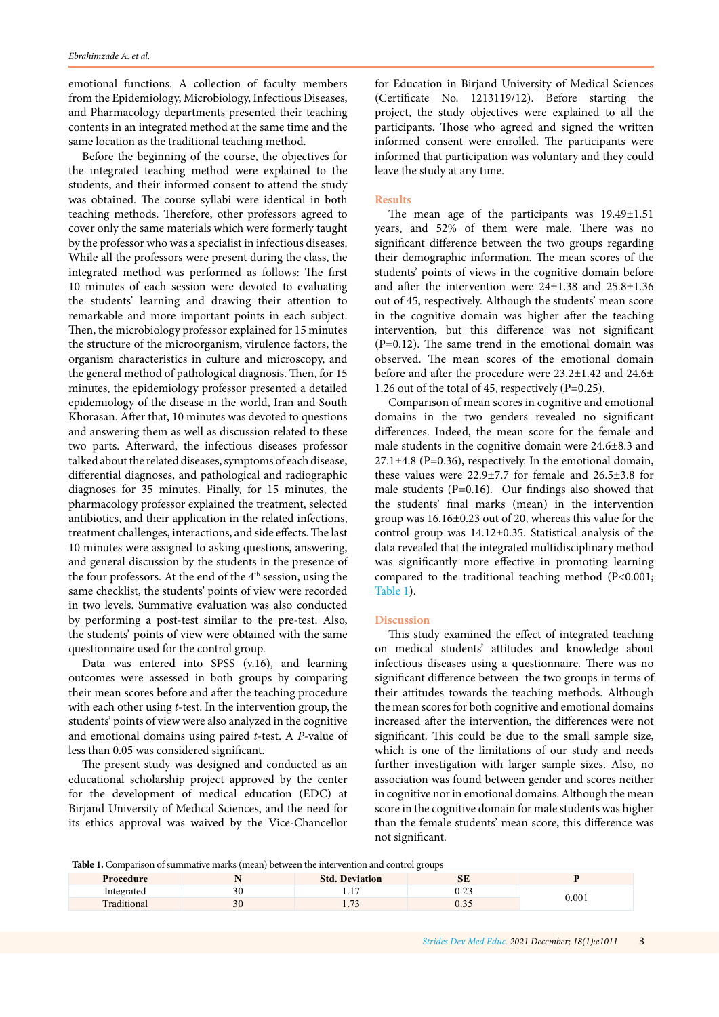emotional functions. A collection of faculty members from the Epidemiology, Microbiology, Infectious Diseases, and Pharmacology departments presented their teaching contents in an integrated method at the same time and the same location as the traditional teaching method.

Before the beginning of the course, the objectives for the integrated teaching method were explained to the students, and their informed consent to attend the study was obtained. The course syllabi were identical in both teaching methods. Therefore, other professors agreed to cover only the same materials which were formerly taught by the professor who was a specialist in infectious diseases. While all the professors were present during the class, the integrated method was performed as follows: The first 10 minutes of each session were devoted to evaluating the students' learning and drawing their attention to remarkable and more important points in each subject. Then, the microbiology professor explained for 15 minutes the structure of the microorganism, virulence factors, the organism characteristics in culture and microscopy, and the general method of pathological diagnosis. Then, for 15 minutes, the epidemiology professor presented a detailed epidemiology of the disease in the world, Iran and South Khorasan. After that, 10 minutes was devoted to questions and answering them as well as discussion related to these two parts. Afterward, the infectious diseases professor talked about the related diseases, symptoms of each disease, differential diagnoses, and pathological and radiographic diagnoses for 35 minutes. Finally, for 15 minutes, the pharmacology professor explained the treatment, selected antibiotics, and their application in the related infections, treatment challenges, interactions, and side effects. The last 10 minutes were assigned to asking questions, answering, and general discussion by the students in the presence of the four professors. At the end of the  $4<sup>th</sup>$  session, using the same checklist, the students' points of view were recorded in two levels. Summative evaluation was also conducted by performing a post-test similar to the pre-test. Also, the students' points of view were obtained with the same questionnaire used for the control group.

Data was entered into SPSS (v.16), and learning outcomes were assessed in both groups by comparing their mean scores before and after the teaching procedure with each other using *t*-test. In the intervention group, the students' points of view were also analyzed in the cognitive and emotional domains using paired *t*-test. A *P*-value of less than 0.05 was considered significant.

The present study was designed and conducted as an educational scholarship project approved by the center for the development of medical education (EDC) at Birjand University of Medical Sciences, and the need for its ethics approval was waived by the Vice-Chancellor

for Education in Birjand University of Medical Sciences (Certificate No. 1213119/12). Before starting the project, the study objectives were explained to all the participants. Those who agreed and signed the written informed consent were enrolled. The participants were informed that participation was voluntary and they could leave the study at any time.

#### **Results**

The mean age of the participants was 19.49±1.51 years, and 52% of them were male. There was no significant difference between the two groups regarding their demographic information. The mean scores of the students' points of views in the cognitive domain before and after the intervention were 24±1.38 and 25.8±1.36 out of 45, respectively. Although the students' mean score in the cognitive domain was higher after the teaching intervention, but this difference was not significant (P=0.12). The same trend in the emotional domain was observed. The mean scores of the emotional domain before and after the procedure were 23.2±1.42 and 24.6± 1.26 out of the total of 45, respectively (P=0.25).

Comparison of mean scores in cognitive and emotional domains in the two genders revealed no significant differences. Indeed, the mean score for the female and male students in the cognitive domain were 24.6±8.3 and  $27.1\pm4.8$  (P=0.36), respectively. In the emotional domain, these values were 22.9±7.7 for female and 26.5±3.8 for male students (P=0.16). Our findings also showed that the students' final marks (mean) in the intervention group was 16.16±0.23 out of 20, whereas this value for the control group was 14.12±0.35. Statistical analysis of the data revealed that the integrated multidisciplinary method was significantly more effective in promoting learning compared to the traditional teaching method (P<0.001; Table 1).

#### **Discussion**

This study examined the effect of integrated teaching on medical students' attitudes and knowledge about infectious diseases using a questionnaire. There was no significant difference between the two groups in terms of their attitudes towards the teaching methods. Although the mean scores for both cognitive and emotional domains increased after the intervention, the differences were not significant. This could be due to the small sample size, which is one of the limitations of our study and needs further investigation with larger sample sizes. Also, no association was found between gender and scores neither in cognitive nor in emotional domains. Although the mean score in the cognitive domain for male students was higher than the female students' mean score, this difference was not significant.

**Table 1.** Comparison of summative marks (mean) between the intervention and control groups

| Procedure                              |    | <b>Std. Deviation</b> | $\sim$<br>ЮĿ   |       |
|----------------------------------------|----|-----------------------|----------------|-------|
| Integrated<br>mueg                     | υc | .                     | $\sim$<br>∪.∠J | 0.001 |
| $\overline{\phantom{0}}$<br>raditional | 30 | 1.12                  | v.j.           |       |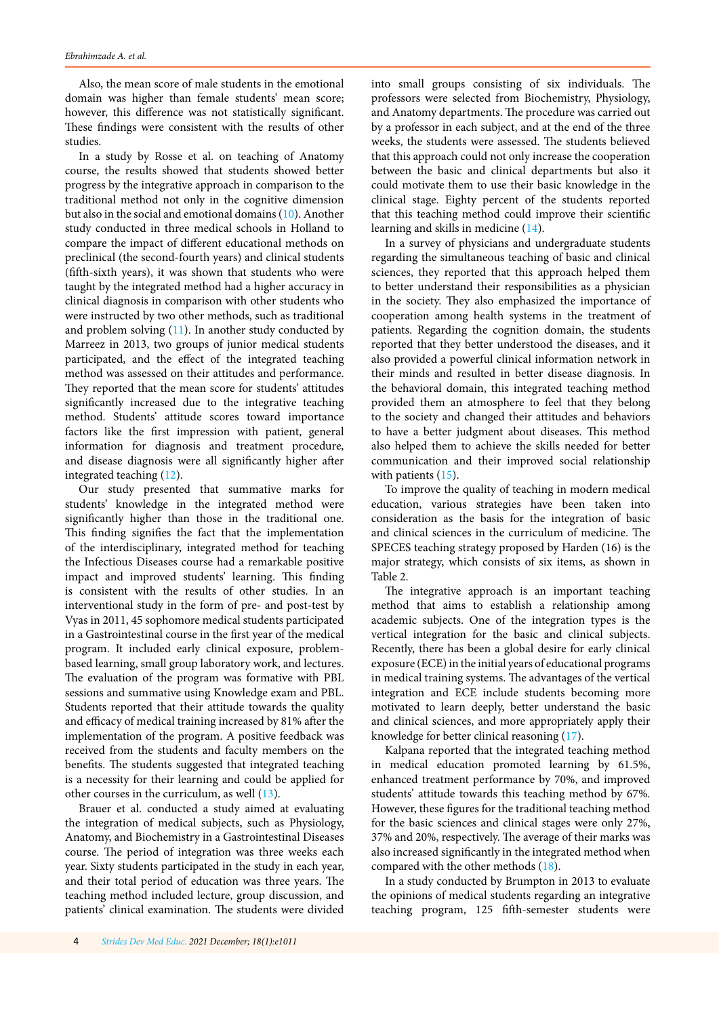Also, the mean score of male students in the emotional domain was higher than female students' mean score; however, this difference was not statistically significant. These findings were consistent with the results of other studies.

In a study by Rosse et al. on teaching of Anatomy course, the results showed that students showed better progress by the integrative approach in comparison to the traditional method not only in the cognitive dimension but also in the social and emotional domains [\(10\)](#page-4-0). Another study conducted in three medical schools in Holland to compare the impact of different educational methods on preclinical (the second-fourth years) and clinical students (fifth-sixth years), it was shown that students who were taught by the integrated method had a higher accuracy in clinical diagnosis in comparison with other students who were instructed by two other methods, such as traditional and problem solving  $(11)$  $(11)$ . In another study conducted by Marreez in 2013, two groups of junior medical students participated, and the effect of the integrated teaching method was assessed on their attitudes and performance. They reported that the mean score for students' attitudes significantly increased due to the integrative teaching method. Students' attitude scores toward importance factors like the first impression with patient, general information for diagnosis and treatment procedure, and disease diagnosis were all significantly higher after integrated teaching [\(12\)](#page-4-0).

Our study presented that summative marks for students' knowledge in the integrated method were significantly higher than those in the traditional one. This finding signifies the fact that the implementation of the interdisciplinary, integrated method for teaching the Infectious Diseases course had a remarkable positive impact and improved students' learning. This finding is consistent with the results of other studies. In an interventional study in the form of pre- and post-test by Vyas in 2011, 45 sophomore medical students participated in a Gastrointestinal course in the first year of the medical program. It included early clinical exposure, problembased learning, small group laboratory work, and lectures. The evaluation of the program was formative with PBL sessions and summative using Knowledge exam and PBL. Students reported that their attitude towards the quality and efficacy of medical training increased by 81% after the implementation of the program. A positive feedback was received from the students and faculty members on the benefits. The students suggested that integrated teaching is a necessity for their learning and could be applied for other courses in the curriculum, as well [\(13\)](#page-4-0).

Brauer et al. conducted a study aimed at evaluating the integration of medical subjects, such as Physiology, Anatomy, and Biochemistry in a Gastrointestinal Diseases course. The period of integration was three weeks each year. Sixty students participated in the study in each year, and their total period of education was three years. The teaching method included lecture, group discussion, and patients' clinical examination. The students were divided

into small groups consisting of six individuals. The professors were selected from Biochemistry, Physiology, and Anatomy departments. The procedure was carried out by a professor in each subject, and at the end of the three weeks, the students were assessed. The students believed that this approach could not only increase the cooperation between the basic and clinical departments but also it could motivate them to use their basic knowledge in the clinical stage. Eighty percent of the students reported that this teaching method could improve their scientific learning and skills in medicine ([14](#page-4-0)).

In a survey of physicians and undergraduate students regarding the simultaneous teaching of basic and clinical sciences, they reported that this approach helped them to better understand their responsibilities as a physician in the society. They also emphasized the importance of cooperation among health systems in the treatment of patients. Regarding the cognition domain, the students reported that they better understood the diseases, and it also provided a powerful clinical information network in their minds and resulted in better disease diagnosis. In the behavioral domain, this integrated teaching method provided them an atmosphere to feel that they belong to the society and changed their attitudes and behaviors to have a better judgment about diseases. This method also helped them to achieve the skills needed for better communication and their improved social relationship with patients ([15\)](#page-5-0).

To improve the quality of teaching in modern medical education, various strategies have been taken into consideration as the basis for the integration of basic and clinical sciences in the curriculum of medicine. The SPECES teaching strategy proposed by Harden (16) is the major strategy, which consists of six items, as shown in Table 2.

The integrative approach is an important teaching method that aims to establish a relationship among academic subjects. One of the integration types is the vertical integration for the basic and clinical subjects. Recently, there has been a global desire for early clinical exposure (ECE) in the initial years of educational programs in medical training systems. The advantages of the vertical integration and ECE include students becoming more motivated to learn deeply, better understand the basic and clinical sciences, and more appropriately apply their knowledge for better clinical reasoning [\(17](#page-5-0)).

Kalpana reported that the integrated teaching method in medical education promoted learning by 61.5%, enhanced treatment performance by 70%, and improved students' attitude towards this teaching method by 67%. However, these figures for the traditional teaching method for the basic sciences and clinical stages were only 27%, 37% and 20%, respectively. The average of their marks was also increased significantly in the integrated method when compared with the other methods [\(18\)](#page-5-0).

In a study conducted by Brumpton in 2013 to evaluate the opinions of medical students regarding an integrative teaching program, 125 fifth-semester students were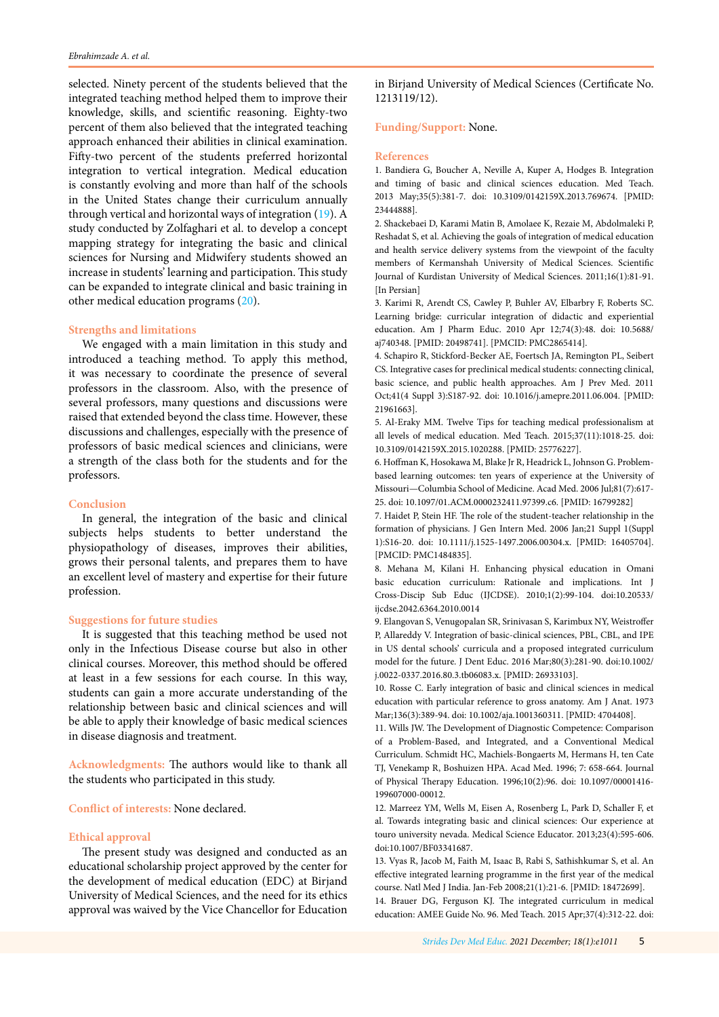<span id="page-4-0"></span>selected. Ninety percent of the students believed that the integrated teaching method helped them to improve their knowledge, skills, and scientific reasoning. Eighty-two percent of them also believed that the integrated teaching approach enhanced their abilities in clinical examination. Fifty-two percent of the students preferred horizontal integration to vertical integration. Medical education is constantly evolving and more than half of the schools in the United States change their curriculum annually through vertical and horizontal ways of integration ([19](#page-5-0)). A study conducted by Zolfaghari et al. to develop a concept mapping strategy for integrating the basic and clinical sciences for Nursing and Midwifery students showed an increase in students' learning and participation. This study can be expanded to integrate clinical and basic training in other medical education programs [\(20\)](#page-5-0).

#### **Strengths and limitations**

We engaged with a main limitation in this study and introduced a teaching method. To apply this method, it was necessary to coordinate the presence of several professors in the classroom. Also, with the presence of several professors, many questions and discussions were raised that extended beyond the class time. However, these discussions and challenges, especially with the presence of professors of basic medical sciences and clinicians, were a strength of the class both for the students and for the professors.

#### **Conclusion**

In general, the integration of the basic and clinical subjects helps students to better understand the physiopathology of diseases, improves their abilities, grows their personal talents, and prepares them to have an excellent level of mastery and expertise for their future profession.

# **Suggestions for future studies**

It is suggested that this teaching method be used not only in the Infectious Disease course but also in other clinical courses. Moreover, this method should be offered at least in a few sessions for each course. In this way, students can gain a more accurate understanding of the relationship between basic and clinical sciences and will be able to apply their knowledge of basic medical sciences in disease diagnosis and treatment.

**Acknowledgments:** The authors would like to thank all the students who participated in this study.

**Conflict of interests:** None declared.

#### **Ethical approval**

The present study was designed and conducted as an educational scholarship project approved by the center for the development of medical education (EDC) at Birjand University of Medical Sciences, and the need for its ethics approval was waived by the Vice Chancellor for Education

in Birjand University of Medical Sciences (Certificate No. 1213119/12).

# **Funding/Support:** None.

#### **References**

1. Bandiera G, Boucher A, Neville A, Kuper A, Hodges B. Integration and timing of basic and clinical sciences education. Med Teach. 2013 May;35(5):381-7. doi: 10.3109/0142159X.2013.769674. [PMID: 23444888].

2. Shackebaei D, Karami Matin B, Amolaee K, Rezaie M, Abdolmaleki P, Reshadat S, et al. Achieving the goals of integration of medical education and health service delivery systems from the viewpoint of the faculty members of Kermanshah University of Medical Sciences. Scientific Journal of Kurdistan University of Medical Sciences. 2011;16(1):81-91. [In Persian]

3. Karimi R, Arendt CS, Cawley P, Buhler AV, Elbarbry F, Roberts SC. Learning bridge: curricular integration of didactic and experiential education. Am J Pharm Educ. 2010 Apr 12;74(3):48. doi: 10.5688/ aj740348. [PMID: 20498741]. [PMCID: PMC2865414].

4. Schapiro R, Stickford-Becker AE, Foertsch JA, Remington PL, Seibert CS. Integrative cases for preclinical medical students: connecting clinical, basic science, and public health approaches. Am J Prev Med. 2011 Oct;41(4 Suppl 3):S187-92. doi: 10.1016/j.amepre.2011.06.004. [PMID: 21961663].

5. Al-Eraky MM. Twelve Tips for teaching medical professionalism at all levels of medical education. Med Teach. 2015;37(11):1018-25. doi: 10.3109/0142159X.2015.1020288. [PMID: 25776227].

6. Hoffman K, Hosokawa M, Blake Jr R, Headrick L, Johnson G. Problembased learning outcomes: ten years of experience at the University of Missouri—Columbia School of Medicine. Acad Med. 2006 Jul;81(7):617- 25. doi: 10.1097/01.ACM.0000232411.97399.c6. [PMID: 16799282]

7. Haidet P, Stein HF. The role of the student-teacher relationship in the formation of physicians. J Gen Intern Med. 2006 Jan;21 Suppl 1(Suppl 1):S16-20. doi: 10.1111/j.1525-1497.2006.00304.x. [PMID: 16405704]. [PMCID: PMC1484835].

8. Mehana M, Kilani H. Enhancing physical education in Omani basic education curriculum: Rationale and implications. Int J Cross-Discip Sub Educ (IJCDSE). 2010;1(2):99-104. doi:10.20533/ ijcdse.2042.6364.2010.0014

9. Elangovan S, Venugopalan SR, Srinivasan S, Karimbux NY, Weistroffer P, Allareddy V. Integration of basic-clinical sciences, PBL, CBL, and IPE in US dental schools' curricula and a proposed integrated curriculum model for the future. J Dent Educ. 2016 Mar;80(3):281-90. doi:10.1002/ j.0022-0337.2016.80.3.tb06083.x. [PMID: 26933103].

10. Rosse C. Early integration of basic and clinical sciences in medical education with particular reference to gross anatomy. Am J Anat. 1973 Mar;136(3):389-94. doi: 10.1002/aja.1001360311. [PMID: 4704408].

11. Wills JW. The Development of Diagnostic Competence: Comparison of a Problem-Based, and Integrated, and a Conventional Medical Curriculum. Schmidt HC, Machiels-Bongaerts M, Hermans H, ten Cate TJ, Venekamp R, Boshuizen HPA. Acad Med. 1996; 7: 658-664. Journal of Physical Therapy Education. 1996;10(2):96. doi: 10.1097/00001416- 199607000-00012.

12. Marreez YM, Wells M, Eisen A, Rosenberg L, Park D, Schaller F, et al. Towards integrating basic and clinical sciences: Our experience at touro university nevada. Medical Science Educator. 2013;23(4):595-606. doi:10.1007/BF03341687.

13. Vyas R, Jacob M, Faith M, Isaac B, Rabi S, Sathishkumar S, et al. An effective integrated learning programme in the first year of the medical course. Natl Med J India. Jan-Feb 2008;21(1):21-6. [PMID: 18472699].

14. Brauer DG, Ferguson KJ. The integrated curriculum in medical education: AMEE Guide No. 96. Med Teach. 2015 Apr;37(4):312-22. doi: